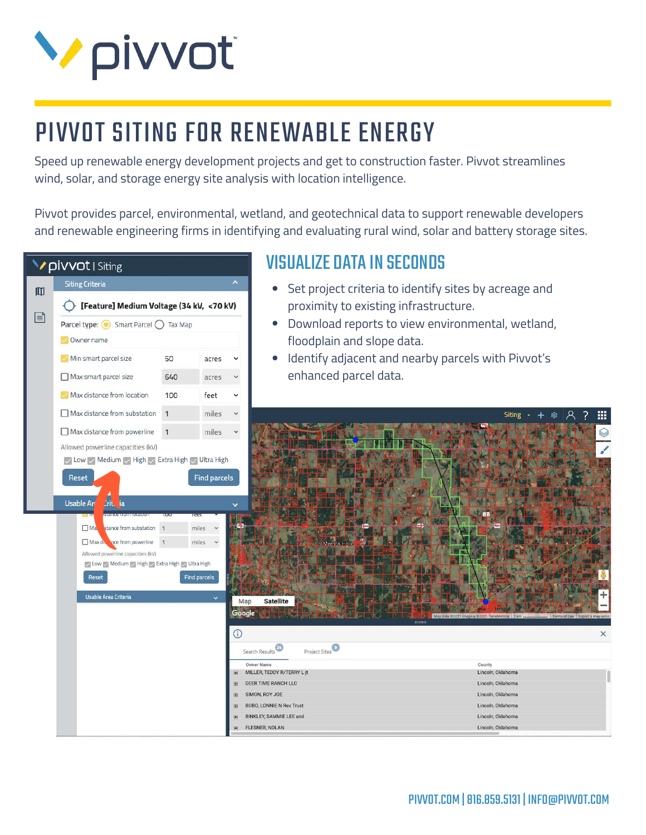

# PIVVOT SITING FOR RENEWABLE ENERGY

Speed up renewable energy development projects and get to construction faster. Pivvot streamlines wind, solar, and storage energy site analysis with location intelligence.

Pivvot provides parcel, environmental, wetland, and geotechnical data to support renewable developers and renewable engineering firms in identifying and evaluating rural wind, solar and battery storage sites.



#### VISUALIZE DATA IN SECONDS

- Set project criteria to identify sites by acreage and proximity to existing infrastructure.
- Download reports to view environmental, wetland, floodplain and slope data.
- Identify adjacent and nearby parcels with Pivvot's enhanced parcel data.